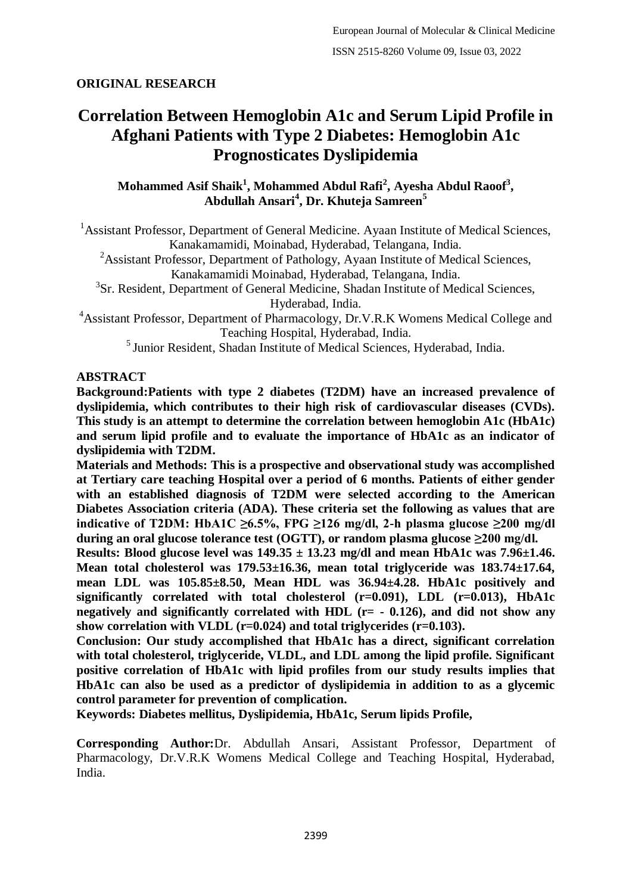## **ORIGINAL RESEARCH**

# **Correlation Between Hemoglobin A1c and Serum Lipid Profile in Afghani Patients with Type 2 Diabetes: Hemoglobin A1c Prognosticates Dyslipidemia**

## **Mohammed Asif Shaik<sup>1</sup> , Mohammed Abdul Rafi<sup>2</sup> , Ayesha Abdul Raoof<sup>3</sup> , Abdullah Ansari<sup>4</sup> , Dr. Khuteja Samreen<sup>5</sup>**

<sup>1</sup> Assistant Professor, Department of General Medicine. Ayaan Institute of Medical Sciences, Kanakamamidi, Moinabad, Hyderabad, Telangana, India.

<sup>2</sup>Assistant Professor, Department of Pathology, Ayaan Institute of Medical Sciences, Kanakamamidi Moinabad, Hyderabad, Telangana, India.

<sup>3</sup>Sr. Resident, Department of General Medicine, Shadan Institute of Medical Sciences, Hyderabad, India.

<sup>4</sup>Assistant Professor, Department of Pharmacology, Dr.V.R.K Womens Medical College and Teaching Hospital, Hyderabad, India.

<sup>5</sup> Junior Resident, Shadan Institute of Medical Sciences, Hyderabad, India.

## **ABSTRACT**

**Background:Patients with type 2 diabetes (T2DM) have an increased prevalence of dyslipidemia, which contributes to their high risk of cardiovascular diseases (CVDs). This study is an attempt to determine the correlation between hemoglobin A1c (HbA1c) and serum lipid profile and to evaluate the importance of HbA1c as an indicator of dyslipidemia with T2DM.**

**Materials and Methods: This is a prospective and observational study was accomplished at Tertiary care teaching Hospital over a period of 6 months. Patients of either gender with an established diagnosis of T2DM were selected according to the American Diabetes Association criteria (ADA). These criteria set the following as values that are indicative of T2DM: HbA1C ≥6.5%, FPG ≥126 mg/dl, 2-h plasma glucose ≥200 mg/dl during an oral glucose tolerance test (OGTT), or random plasma glucose ≥200 mg/dl.**

**Results: Blood glucose level was 149.35 ± 13.23 mg/dl and mean HbA1c was 7.96±1.46. Mean total cholesterol was 179.53±16.36, mean total triglyceride was 183.74±17.64, mean LDL was 105.85±8.50, Mean HDL was 36.94±4.28. HbA1c positively and significantly correlated with total cholesterol (r=0.091), LDL (r=0.013), HbA1c negatively and significantly correlated with HDL (r= - 0.126), and did not show any show correlation with VLDL (r=0.024) and total triglycerides (r=0.103).**

**Conclusion: Our study accomplished that HbA1c has a direct, significant correlation with total cholesterol, triglyceride, VLDL, and LDL among the lipid profile. Significant positive correlation of HbA1c with lipid profiles from our study results implies that HbA1c can also be used as a predictor of dyslipidemia in addition to as a glycemic control parameter for prevention of complication.**

**Keywords: Diabetes mellitus, Dyslipidemia, HbA1c, Serum lipids Profile,**

**Corresponding Author:**Dr. Abdullah Ansari, Assistant Professor, Department of Pharmacology, Dr.V.R.K Womens Medical College and Teaching Hospital, Hyderabad, India.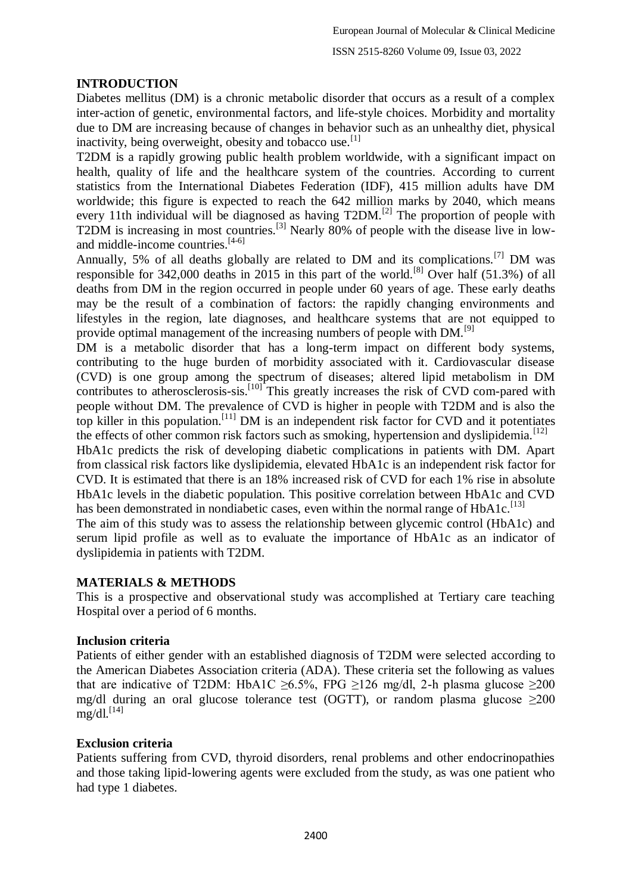## **INTRODUCTION**

Diabetes mellitus (DM) is a chronic metabolic disorder that occurs as a result of a complex inter-action of genetic, environmental factors, and life-style choices. Morbidity and mortality due to DM are increasing because of changes in behavior such as an unhealthy diet, physical inactivity, being overweight, obesity and tobacco use.<sup>[1]</sup>

T2DM is a rapidly growing public health problem worldwide, with a significant impact on health, quality of life and the healthcare system of the countries. According to current statistics from the International Diabetes Federation (IDF), 415 million adults have DM worldwide; this figure is expected to reach the 642 million marks by 2040, which means every 11th individual will be diagnosed as having T2DM.<sup>[2]</sup> The proportion of people with T2DM is increasing in most countries.<sup>[3]</sup> Nearly 80% of people with the disease live in lowand middle-income countries. $[4-6]$ 

Annually, 5% of all deaths globally are related to DM and its complications.[7] DM was responsible for 342,000 deaths in 2015 in this part of the world.<sup>[8]</sup> Over half (51.3%) of all deaths from DM in the region occurred in people under 60 years of age. These early deaths may be the result of a combination of factors: the rapidly changing environments and lifestyles in the region, late diagnoses, and healthcare systems that are not equipped to provide optimal management of the increasing numbers of people with DM.<sup>[9]</sup>

DM is a metabolic disorder that has a long-term impact on different body systems, contributing to the huge burden of morbidity associated with it. Cardiovascular disease (CVD) is one group among the spectrum of diseases; altered lipid metabolism in DM contributes to atherosclerosis-sis.<sup>[10]</sup> This greatly increases the risk of CVD com-pared with people without DM. The prevalence of CVD is higher in people with T2DM and is also the top killer in this population.<sup>[11]</sup> DM is an independent risk factor for CVD and it potentiates the effects of other common risk factors such as smoking, hypertension and dyslipidemia.<sup>[12]</sup>

HbA1c predicts the risk of developing diabetic complications in patients with DM. Apart from classical risk factors like dyslipidemia, elevated HbA1c is an independent risk factor for CVD. It is estimated that there is an 18% increased risk of CVD for each 1% rise in absolute HbA1c levels in the diabetic population. This positive correlation between HbA1c and CVD has been demonstrated in nondiabetic cases, even within the normal range of  $HbA1c$ .<sup>[13]</sup>

The aim of this study was to assess the relationship between glycemic control (HbA1c) and serum lipid profile as well as to evaluate the importance of HbA1c as an indicator of dyslipidemia in patients with T2DM.

#### **MATERIALS & METHODS**

This is a prospective and observational study was accomplished at Tertiary care teaching Hospital over a period of 6 months.

#### **Inclusion criteria**

Patients of either gender with an established diagnosis of T2DM were selected according to the American Diabetes Association criteria (ADA). These criteria set the following as values that are indicative of T2DM: HbA1C  $\geq 6.5\%$ , FPG  $\geq 126$  mg/dl, 2-h plasma glucose  $\geq 200$ mg/dl during an oral glucose tolerance test (OGTT), or random plasma glucose  $\geq 200$  $mg/dl.$ <sup>[14]</sup>

#### **Exclusion criteria**

Patients suffering from CVD, thyroid disorders, renal problems and other endocrinopathies and those taking lipid-lowering agents were excluded from the study, as was one patient who had type 1 diabetes.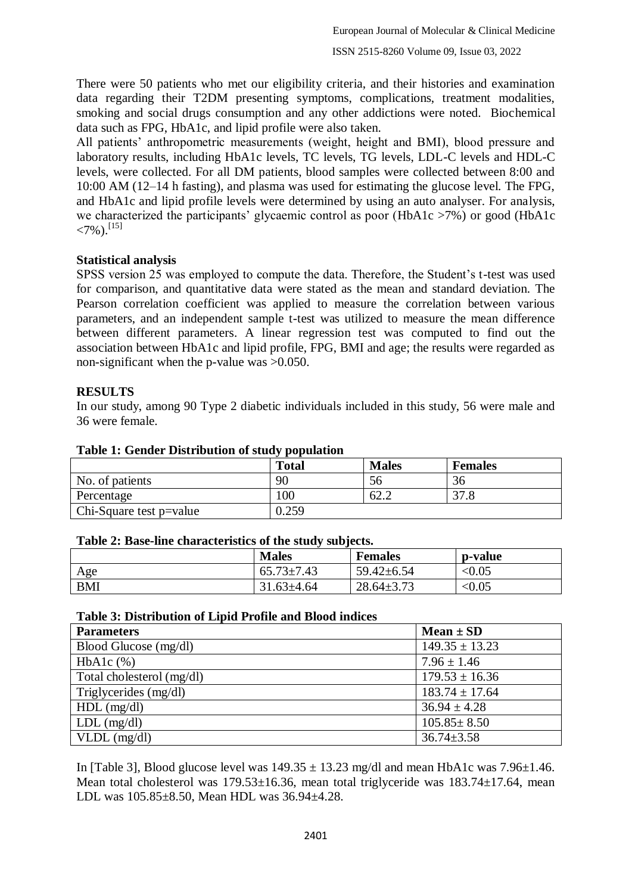There were 50 patients who met our eligibility criteria, and their histories and examination data regarding their T2DM presenting symptoms, complications, treatment modalities, smoking and social drugs consumption and any other addictions were noted. Biochemical data such as FPG, HbA1c, and lipid profile were also taken.

All patients' anthropometric measurements (weight, height and BMI), blood pressure and laboratory results, including HbA1c levels, TC levels, TG levels, LDL-C levels and HDL-C levels, were collected. For all DM patients, blood samples were collected between 8:00 and 10:00 AM (12–14 h fasting), and plasma was used for estimating the glucose level. The FPG, and HbA1c and lipid profile levels were determined by using an auto analyser. For analysis, we characterized the participants' glycaemic control as poor (HbA1c >7%) or good (HbA1c  $\langle 7\% \rangle$ . [15]

## **Statistical analysis**

SPSS version 25 was employed to compute the data. Therefore, the Student's t-test was used for comparison, and quantitative data were stated as the mean and standard deviation. The Pearson correlation coefficient was applied to measure the correlation between various parameters, and an independent sample t-test was utilized to measure the mean difference between different parameters. A linear regression test was computed to find out the association between HbA1c and lipid profile, FPG, BMI and age; the results were regarded as non-significant when the p-value was >0.050.

## **RESULTS**

In our study, among 90 Type 2 diabetic individuals included in this study, 56 were male and 36 were female.

|                         | <b>Total</b> | <b>Males</b> | <b>Females</b> |
|-------------------------|--------------|--------------|----------------|
| No. of patients         | 90           | 56           | 36             |
| Percentage              | 100          | 62.2         | 27c            |
| Chi-Square test p=value | 0.259        |              |                |

## **Table 1: Gender Distribution of study population**

#### **Table 2: Base-line characteristics of the study subjects.**

|            | <b>Males</b>          | <b>Females</b>   | <b>p</b> -value |
|------------|-----------------------|------------------|-----------------|
| Age        | $65.73 \pm 7$<br>7.43 | $59.42 \pm 6.54$ | < 0.05          |
| <b>BMI</b> | $31.63 \pm 4.64$      | $28.64 \pm 3.73$ | < 0.05          |

#### **Table 3: Distribution of Lipid Profile and Blood indices**

| <b>Parameters</b>         | $Mean \pm SD$      |
|---------------------------|--------------------|
| Blood Glucose (mg/dl)     | $149.35 \pm 13.23$ |
| $HbA1c$ $%$ )             | $7.96 \pm 1.46$    |
| Total cholesterol (mg/dl) | $179.53 \pm 16.36$ |
| Triglycerides (mg/dl)     | $183.74 \pm 17.64$ |
| $HDL$ (mg/dl)             | $36.94 \pm 4.28$   |
| $LDL$ (mg/dl)             | $105.85 \pm 8.50$  |
| $VLDL$ (mg/dl)            | $36.74 \pm 3.58$   |

In [Table 3], Blood glucose level was  $149.35 \pm 13.23$  mg/dl and mean HbA1c was 7.96 $\pm$ 1.46. Mean total cholesterol was 179.53±16.36, mean total triglyceride was 183.74±17.64, mean LDL was 105.85±8.50, Mean HDL was 36.94±4.28.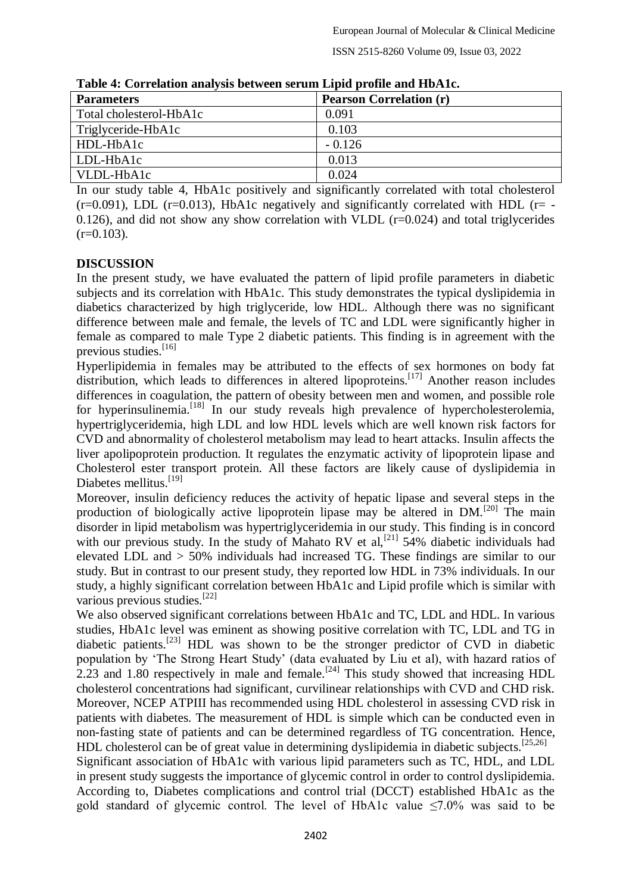ISSN 2515-8260 Volume 09, Issue 03, 2022

| Table 4. Correlation analysis between serum Eipha prome and Horvic. |                                |  |
|---------------------------------------------------------------------|--------------------------------|--|
| <b>Parameters</b>                                                   | <b>Pearson Correlation (r)</b> |  |
| Total cholesterol-HbA1c                                             | 0.091                          |  |
| Triglyceride-HbA1c                                                  | 0.103                          |  |
| HDL-HbA1c                                                           | $-0.126$                       |  |
| LDL-HbA1c                                                           | 0.013                          |  |
| VLDL-HbA1c                                                          | 0.024                          |  |

**Table 4: Correlation analysis between serum Lipid profile and HbA1c.**

In our study table 4, HbA1c positively and significantly correlated with total cholesterol  $(r=0.091)$ , LDL  $(r=0.013)$ , HbA1c negatively and significantly correlated with HDL  $(r= -1.091)$ 0.126), and did not show any show correlation with VLDL  $(r=0.024)$  and total triglycerides  $(r=0.103)$ .

#### **DISCUSSION**

In the present study, we have evaluated the pattern of lipid profile parameters in diabetic subjects and its correlation with HbA1c. This study demonstrates the typical dyslipidemia in diabetics characterized by high triglyceride, low HDL. Although there was no significant difference between male and female, the levels of TC and LDL were significantly higher in female as compared to male Type 2 diabetic patients. This finding is in agreement with the previous studies.<sup>[16]</sup>

Hyperlipidemia in females may be attributed to the effects of sex hormones on body fat distribution, which leads to differences in altered lipoproteins.<sup>[17]</sup> Another reason includes differences in coagulation, the pattern of obesity between men and women, and possible role for hyperinsulinemia.<sup>[18]</sup> In our study reveals high prevalence of hypercholesterolemia, hypertriglyceridemia, high LDL and low HDL levels which are well known risk factors for CVD and abnormality of cholesterol metabolism may lead to heart attacks. Insulin affects the liver apolipoprotein production. It regulates the enzymatic activity of lipoprotein lipase and Cholesterol ester transport protein. All these factors are likely cause of dyslipidemia in Diabetes mellitus.<sup>[19]</sup>

Moreover, insulin deficiency reduces the activity of hepatic lipase and several steps in the production of biologically active lipoprotein lipase may be altered in DM.<sup>[20]</sup> The main disorder in lipid metabolism was hypertriglyceridemia in our study. This finding is in concord with our previous study. In the study of Mahato RV et al.<sup>[21]</sup>  $54\%$  diabetic individuals had elevated LDL and > 50% individuals had increased TG. These findings are similar to our study. But in contrast to our present study, they reported low HDL in 73% individuals. In our study, a highly significant correlation between HbA1c and Lipid profile which is similar with various previous studies.[22]

We also observed significant correlations between HbA1c and TC, LDL and HDL. In various studies, HbA1c level was eminent as showing positive correlation with TC, LDL and TG in diabetic patients.[23] HDL was shown to be the stronger predictor of CVD in diabetic population by 'The Strong Heart Study' (data evaluated by Liu et al), with hazard ratios of 2.23 and 1.80 respectively in male and female.<sup>[24]</sup> This study showed that increasing HDL cholesterol concentrations had significant, curvilinear relationships with CVD and CHD risk. Moreover, NCEP ATPIII has recommended using HDL cholesterol in assessing CVD risk in patients with diabetes. The measurement of HDL is simple which can be conducted even in non-fasting state of patients and can be determined regardless of TG concentration. Hence, HDL cholesterol can be of great value in determining dyslipidemia in diabetic subjects.<sup>[25,26]</sup> Significant association of HbA1c with various lipid parameters such as TC, HDL, and LDL in present study suggests the importance of glycemic control in order to control dyslipidemia. According to, Diabetes complications and control trial (DCCT) established HbA1c as the gold standard of glycemic control. The level of HbA1c value  $\leq 7.0\%$  was said to be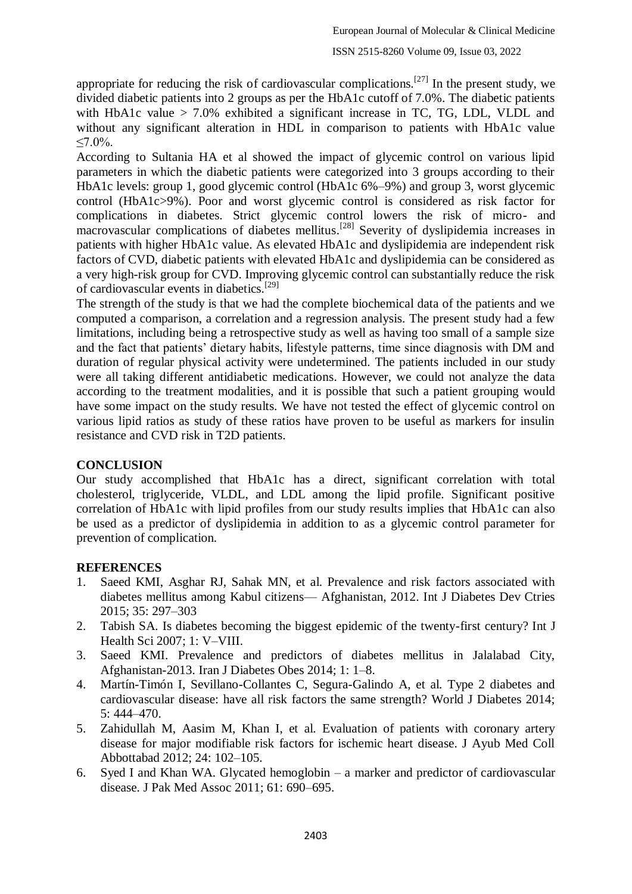appropriate for reducing the risk of cardiovascular complications.<sup>[27]</sup> In the present study, we divided diabetic patients into 2 groups as per the HbA1c cutoff of 7.0%. The diabetic patients with HbA1c value > 7.0% exhibited a significant increase in TC, TG, LDL, VLDL and without any significant alteration in HDL in comparison to patients with HbA1c value  $< 7.0\%$ .

According to Sultania HA et al showed the impact of glycemic control on various lipid parameters in which the diabetic patients were categorized into 3 groups according to their HbA1c levels: group 1, good glycemic control (HbA1c 6%–9%) and group 3, worst glycemic control (HbA1c>9%). Poor and worst glycemic control is considered as risk factor for complications in diabetes. Strict glycemic control lowers the risk of micro- and macrovascular complications of diabetes mellitus.<sup>[28]</sup> Severity of dyslipidemia increases in patients with higher HbA1c value. As elevated HbA1c and dyslipidemia are independent risk factors of CVD, diabetic patients with elevated HbA1c and dyslipidemia can be considered as a very high-risk group for CVD. Improving glycemic control can substantially reduce the risk of cardiovascular events in diabetics.[29]

The strength of the study is that we had the complete biochemical data of the patients and we computed a comparison, a correlation and a regression analysis. The present study had a few limitations, including being a retrospective study as well as having too small of a sample size and the fact that patients' dietary habits, lifestyle patterns, time since diagnosis with DM and duration of regular physical activity were undetermined. The patients included in our study were all taking different antidiabetic medications. However, we could not analyze the data according to the treatment modalities, and it is possible that such a patient grouping would have some impact on the study results. We have not tested the effect of glycemic control on various lipid ratios as study of these ratios have proven to be useful as markers for insulin resistance and CVD risk in T2D patients.

## **CONCLUSION**

Our study accomplished that HbA1c has a direct, significant correlation with total cholesterol, triglyceride, VLDL, and LDL among the lipid profile. Significant positive correlation of HbA1c with lipid profiles from our study results implies that HbA1c can also be used as a predictor of dyslipidemia in addition to as a glycemic control parameter for prevention of complication.

## **REFERENCES**

- 1. Saeed KMI, Asghar RJ, Sahak MN, et al. Prevalence and risk factors associated with diabetes mellitus among Kabul citizens— Afghanistan, 2012. Int J Diabetes Dev Ctries 2015; 35: 297–303
- 2. Tabish SA. Is diabetes becoming the biggest epidemic of the twenty-first century? Int J Health Sci 2007; 1: V–VIII.
- 3. Saeed KMI. Prevalence and predictors of diabetes mellitus in Jalalabad City, Afghanistan-2013. Iran J Diabetes Obes 2014; 1: 1–8.
- 4. Martín-Timón I, Sevillano-Collantes C, Segura-Galindo A, et al. Type 2 diabetes and cardiovascular disease: have all risk factors the same strength? World J Diabetes 2014; 5: 444–470.
- 5. Zahidullah M, Aasim M, Khan I, et al. Evaluation of patients with coronary artery disease for major modifiable risk factors for ischemic heart disease. J Ayub Med Coll Abbottabad 2012; 24: 102–105.
- 6. Syed I and Khan WA. Glycated hemoglobin a marker and predictor of cardiovascular disease. J Pak Med Assoc 2011; 61: 690–695.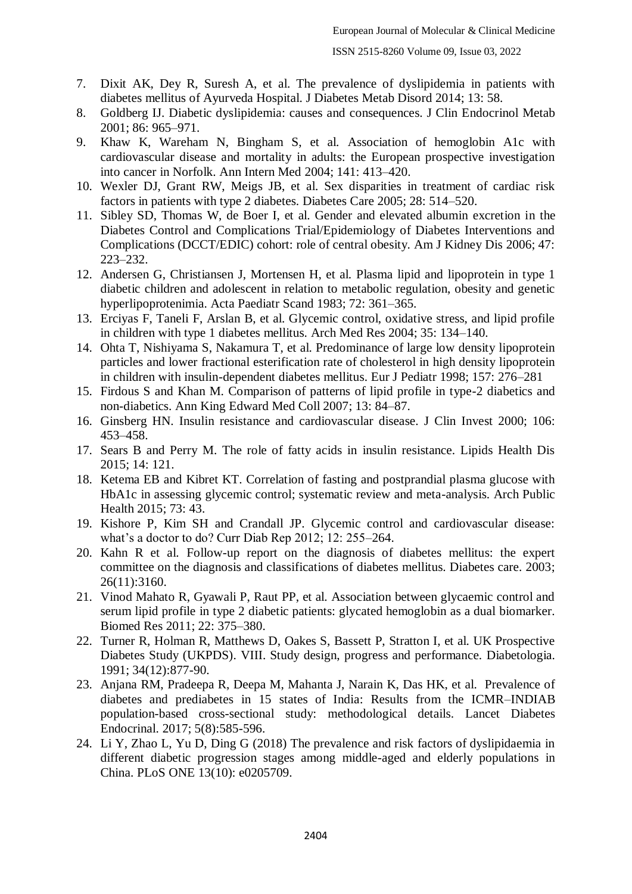- 7. Dixit AK, Dey R, Suresh A, et al. The prevalence of dyslipidemia in patients with diabetes mellitus of Ayurveda Hospital. J Diabetes Metab Disord 2014; 13: 58.
- 8. Goldberg IJ. Diabetic dyslipidemia: causes and consequences. J Clin Endocrinol Metab 2001; 86: 965–971.
- 9. Khaw K, Wareham N, Bingham S, et al. Association of hemoglobin A1c with cardiovascular disease and mortality in adults: the European prospective investigation into cancer in Norfolk. Ann Intern Med 2004; 141: 413–420.
- 10. Wexler DJ, Grant RW, Meigs JB, et al. Sex disparities in treatment of cardiac risk factors in patients with type 2 diabetes. Diabetes Care 2005; 28: 514–520.
- 11. Sibley SD, Thomas W, de Boer I, et al. Gender and elevated albumin excretion in the Diabetes Control and Complications Trial/Epidemiology of Diabetes Interventions and Complications (DCCT/EDIC) cohort: role of central obesity. Am J Kidney Dis 2006; 47: 223–232.
- 12. Andersen G, Christiansen J, Mortensen H, et al. Plasma lipid and lipoprotein in type 1 diabetic children and adolescent in relation to metabolic regulation, obesity and genetic hyperlipoprotenimia. Acta Paediatr Scand 1983; 72: 361–365.
- 13. Erciyas F, Taneli F, Arslan B, et al. Glycemic control, oxidative stress, and lipid profile in children with type 1 diabetes mellitus. Arch Med Res 2004; 35: 134–140.
- 14. Ohta T, Nishiyama S, Nakamura T, et al. Predominance of large low density lipoprotein particles and lower fractional esterification rate of cholesterol in high density lipoprotein in children with insulin-dependent diabetes mellitus. Eur J Pediatr 1998; 157: 276–281
- 15. Firdous S and Khan M. Comparison of patterns of lipid profile in type-2 diabetics and non-diabetics. Ann King Edward Med Coll 2007; 13: 84–87.
- 16. Ginsberg HN. Insulin resistance and cardiovascular disease. J Clin Invest 2000; 106: 453–458.
- 17. Sears B and Perry M. The role of fatty acids in insulin resistance. Lipids Health Dis 2015; 14: 121.
- 18. Ketema EB and Kibret KT. Correlation of fasting and postprandial plasma glucose with HbA1c in assessing glycemic control; systematic review and meta-analysis. Arch Public Health 2015; 73: 43.
- 19. Kishore P, Kim SH and Crandall JP. Glycemic control and cardiovascular disease: what's a doctor to do? Curr Diab Rep 2012; 12: 255–264.
- 20. Kahn R et al. Follow-up report on the diagnosis of diabetes mellitus: the expert committee on the diagnosis and classifications of diabetes mellitus. Diabetes care. 2003; 26(11):3160.
- 21. Vinod Mahato R, Gyawali P, Raut PP, et al. Association between glycaemic control and serum lipid profile in type 2 diabetic patients: glycated hemoglobin as a dual biomarker. Biomed Res 2011; 22: 375–380.
- 22. Turner R, Holman R, Matthews D, Oakes S, Bassett P, Stratton I, et al. UK Prospective Diabetes Study (UKPDS). VIII. Study design, progress and performance. Diabetologia. 1991; 34(12):877-90.
- 23. Anjana RM, Pradeepa R, Deepa M, Mahanta J, Narain K, Das HK, et al. Prevalence of diabetes and prediabetes in 15 states of India: Results from the ICMR–INDIAB population-based cross-sectional study: methodological details. Lancet Diabetes Endocrinal. 2017; 5(8):585-596.
- 24. Li Y, Zhao L, Yu D, Ding G (2018) The prevalence and risk factors of dyslipidaemia in different diabetic progression stages among middle-aged and elderly populations in China. PLoS ONE 13(10): e0205709.